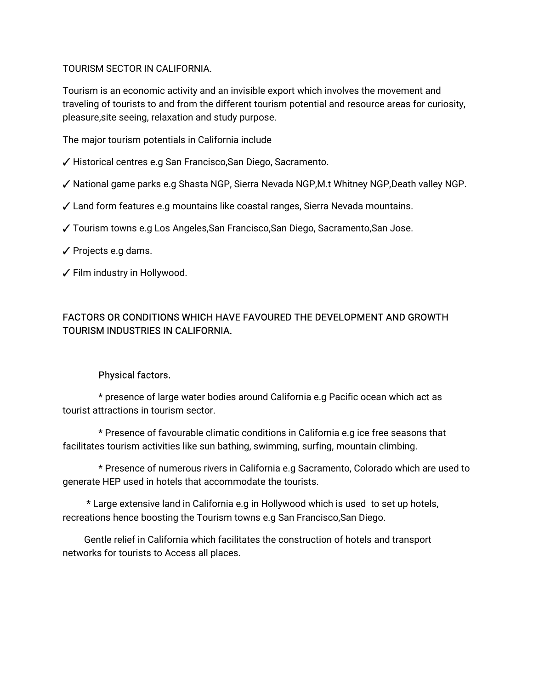TOURISM SECTOR IN CALIFORNIA.

Tourism is an economic activity and an invisible export which involves the movement and traveling of tourists to and from the different tourism potential and resource areas for curiosity, pleasure, site seeing, relaxation and study purpose.

The major tourism potentials in California include

- ✓ Historical centres e.g San Francisco, San Diego, Sacramento.
- √ National game parks e.g Shasta NGP, Sierra Nevada NGP,M.t Whitney NGP,Death valley NGP.
- ✓ Land form features e.g mountains like coastal ranges, Sierra Nevada mountains.
- ✓Tourismtownse.gLosAngeles,SanFrancisco,SanDiego,Sacramento,SanJose.
- $\checkmark$  Projects e.g dams.
- ✓ Film industry in Hollywood.

# FACTORS OR CONDITIONS WHICH HAVE FAVOURED THE DEVELOPMENT AND GROWTH TOURISM INDUSTRIES IN CALIFORNIA.

### Physical factors.

\* presence of large water bodies around California e.g Pacific ocean which act as tourist attractions in tourism sector.

\* Presence of favourable climatic conditions in California e.g ice free seasons that facilitates tourism activities like sun bathing, swimming, surfing, mountain climbing.

\* Presence of numerous rivers in California e.g Sacramento, Colorado which are used to generate HEP used in hotels that accommodate the tourists.

\* Large extensive land in California e.g in Hollywood which is used to set up hotels, recreations hence boosting the Tourism towns e.g San Francisco, San Diego.

Gentle relief in California which facilitates the construction of hotels and transport networks for tourists to Access all places.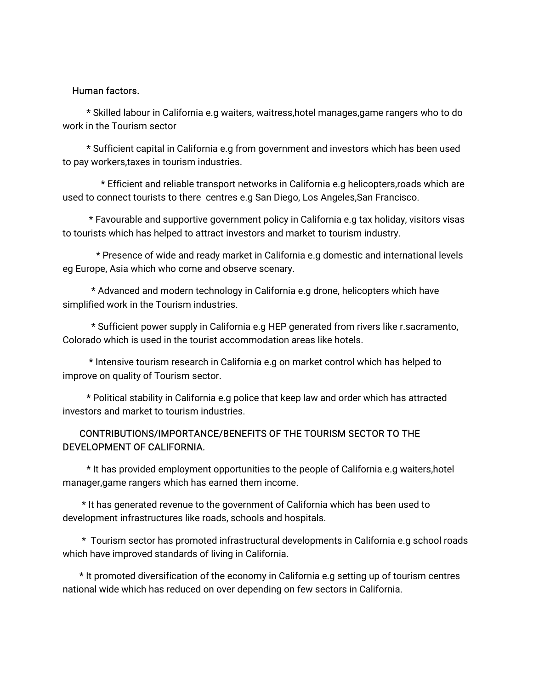#### Human factors.

\* Skilled labour in California e.g waiters, waitress,hotel manages,game rangers who to do work in the Tourism sector

\* Sufficient capital in California e.g from government and investors which has been used to pay workers, taxes in tourism industries.

\* Efficient and reliable transport networks in California e.g helicopters, roads which are used to connect tourists to there centres e.g San Diego, Los Angeles, San Francisco.

\* Favourable and supportive government policy in California e.g tax holiday, visitors visas to tourists which has helped to attract investors and market to tourism industry.

\* Presence of wide and ready market in California e.g domestic and international levels eg Europe, Asia which who come and observe scenary.

\* Advanced and modern technology in California e.g drone, helicopters which have simplified work in the Tourism industries.

\* Sufficient power supply in California e.g HEP generated from rivers like r.sacramento, Colorado which is used in the tourist accommodation areas like hotels.

\* Intensive tourism research in California e.g on market control which has helped to improve on quality of Tourism sector.

\* Political stability in California e.g police that keep law and order which has attracted investors and market to tourism industries.

### CONTRIBUTIONS/IMPORTANCE/BENEFITS OF THE TOURISM SECTOR TO THE DEVELOPMENT OF CALIFORNIA.

\* It has provided employment opportunities to the people of California e.g waiters, hotel manager, game rangers which has earned them income.

\* It has generated revenue to the government of California which has been used to development infrastructures like roads, schools and hospitals.

\* Tourism sector has promoted infrastructural developments in California e.g school roads which have improved standards of living in California.

\* It promoted diversification of the economy in California e.g setting up of tourism centres national wide which has reduced on over depending on few sectors in California.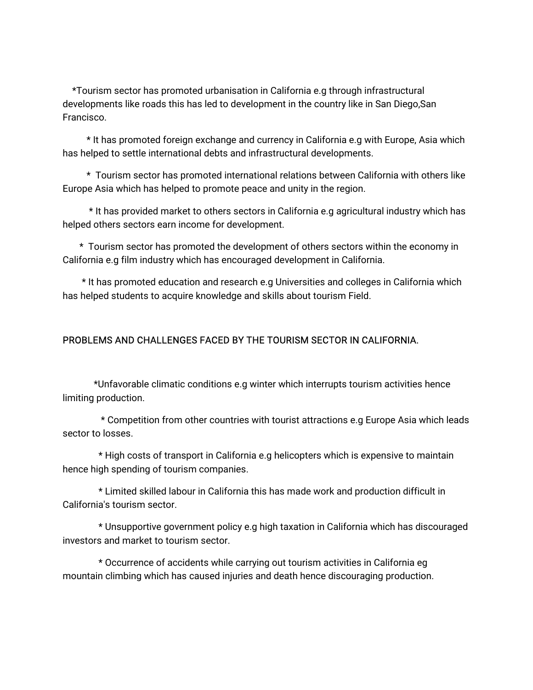\*Tourism sector has promoted urbanisation in California e.g through infrastructural developments like roads this has led to development in the country like in San Diego,San Francisco.

\* It has promoted foreign exchange and currency in California e.g with Europe, Asia which has helped to settle international debts and infrastructural developments.

\* Tourism sector has promoted international relations between California with others like Europe Asia which has helped to promote peace and unity in the region.

\* It has provided market to others sectors in California e.g agricultural industry which has helped others sectors earn income for development.

\* Tourism sector has promoted the development of others sectors within the economy in California e.g film industry which has encouraged development in California.

\* It has promoted education and research e.g Universities and colleges in California which has helped students to acquire knowledge and skills about tourism Field.

### PROBLEMS AND CHALLENGES FACED BY THE TOURISM SECTOR IN CALIFORNIA.

\*Unfavorableclimaticconditionse.gwinterwhichinterruptstourismactivitieshence limiting production.

\* Competition from other countries with tourist attractions e.g Europe Asia which leads sector to losses.

\* High costs of transport in California e.g helicopters which is expensive to maintain hence high spending of tourism companies.

\* Limited skilled labour in California this has made work and production difficult in California's tourism sector.

\* Unsupportive government policy e.g high taxation in California which has discouraged investors and market to tourism sector.

\* Occurrence of accidents while carrying out tourism activities in California eq mountain climbing which has caused injuries and death hence discouraging production.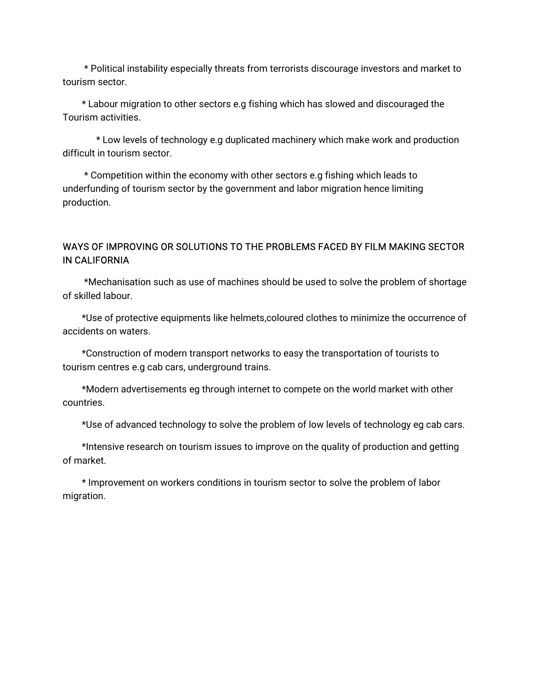\* Political instability especially threats from terrorists discourage investors and market to tourism sector.

\* Labour migration to other sectors e.g fishing which has slowed and discouraged the Tourismactivities.

\* Low levels of technology e.g duplicated machinery which make work and production difficult in tourism sector.

\* Competition within the economy with other sectors e.g fishing which leads to underfunding of tourism sector by the government and labor migration hence limiting production.

# WAYS OF IMPROVING OR SOLUTIONS TO THE PROBLEMS FACED BY FILM MAKING SECTOR INCALIFORNIA

\*Mechanisation such as use of machines should be used to solve the problem of shortage of skilled labour.

\*Use of protective equipments like helmets,coloured clothes to minimize the occurrence of accidents on waters.

\*Construction of modern transport networks to easy the transportation of tourists to tourism centres e.g cab cars, underground trains.

\*Modern advertisements eg through internet to compete on the world market with other countries.

\*Use of advanced technology to solve the problem of low levels of technology eg cab cars.

\*Intensive research on tourism issues to improve on the quality of production and getting ofmarket.

\* Improvement on workers conditions in tourism sector to solve the problem of labor migration.